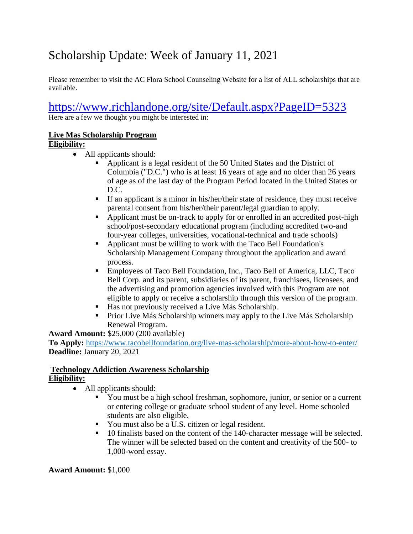# Scholarship Update: Week of January 11, 2021

Please remember to visit the AC Flora School Counseling Website for a list of ALL scholarships that are available.

# <https://www.richlandone.org/site/Default.aspx?PageID=5323>

Here are a few we thought you might be interested in:

# **Live Mas Scholarship Program**

# **Eligibility:**

- All applicants should:
	- Applicant is a legal resident of the 50 United States and the District of Columbia ("D.C.") who is at least 16 years of age and no older than 26 years of age as of the last day of the Program Period located in the United States or D.C.
	- **If an applicant is a minor in his/her/their state of residence, they must receive** parental consent from his/her/their parent/legal guardian to apply.
	- Applicant must be on-track to apply for or enrolled in an accredited post-high school/post-secondary educational program (including accredited two-and four-year colleges, universities, vocational-technical and trade schools)
	- Applicant must be willing to work with the Taco Bell Foundation's Scholarship Management Company throughout the application and award process.
	- Employees of Taco Bell Foundation, Inc., Taco Bell of America, LLC, Taco Bell Corp. and its parent, subsidiaries of its parent, franchisees, licensees, and the advertising and promotion agencies involved with this Program are not eligible to apply or receive a scholarship through this version of the program.
	- Has not previously received a Live Más Scholarship.
	- **•** Prior Live Más Scholarship winners may apply to the Live Más Scholarship Renewal Program.

# **Award Amount:** \$25,000 (200 available)

**To Apply:** <https://www.tacobellfoundation.org/live-mas-scholarship/more-about-how-to-enter/> **Deadline:** January 20, 2021

#### **Technology Addiction Awareness Scholarship Eligibility:**

- All applicants should:
	- You must be a high school freshman, sophomore, junior, or senior or a current or entering college or graduate school student of any level. Home schooled students are also eligible.
	- You must also be a U.S. citizen or legal resident.
	- 10 finalists based on the content of the 140-character message will be selected. The winner will be selected based on the content and creativity of the 500- to 1,000-word essay.

**Award Amount:** \$1,000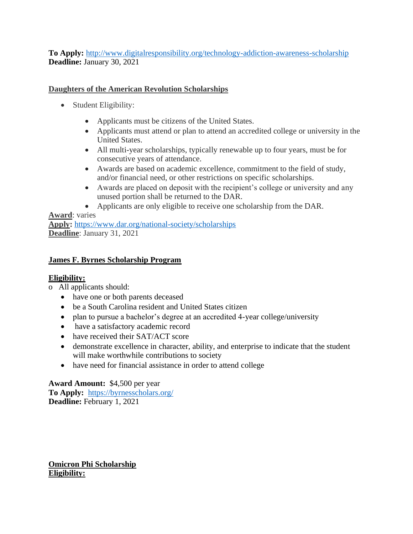**To Apply:** <http://www.digitalresponsibility.org/technology-addiction-awareness-scholarship> **Deadline:** January 30, 2021

# **Daughters of the American Revolution Scholarships**

- Student Eligibility:
	- Applicants must be citizens of the United States.
	- Applicants must attend or plan to attend an accredited college or university in the United States.
	- All multi-year scholarships, typically renewable up to four years, must be for consecutive years of attendance.
	- Awards are based on academic excellence, commitment to the field of study, and/or financial need, or other restrictions on specific scholarships.
	- Awards are placed on deposit with the recipient's college or university and any unused portion shall be returned to the DAR.
	- Applicants are only eligible to receive one scholarship from the DAR.

**Award**: varies **Apply:** <https://www.dar.org/national-society/scholarships> **Deadline**: January 31, 2021

# **James F. Byrnes Scholarship Program**

### **Eligibility:**

o All applicants should:

- have one or both parents deceased
- be a South Carolina resident and United States citizen
- plan to pursue a bachelor's degree at an accredited 4-year college/university
- have a satisfactory academic record
- have received their SAT/ACT score
- demonstrate excellence in character, ability, and enterprise to indicate that the student will make worthwhile contributions to society
- have need for financial assistance in order to attend college

**Award Amount:** \$4,500 per year **To Apply:** <https://byrnesscholars.org/> **Deadline:** February 1, 2021

**Omicron Phi Scholarship Eligibility:**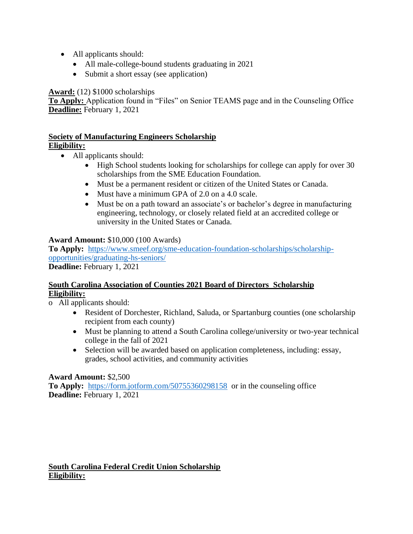- All applicants should:
	- All male-college-bound students graduating in 2021
	- Submit a short essay (see application)

**Award:** (12) \$1000 scholarships

**To Apply:** Application found in "Files" on Senior TEAMS page and in the Counseling Office **Deadline:** February 1, 2021

#### **Society of Manufacturing Engineers Scholarship Eligibility:**

- All applicants should:
	- High School students looking for scholarships for college can apply for over 30 scholarships from the SME Education Foundation.
	- Must be a permanent resident or citizen of the United States or Canada.
	- Must have a minimum GPA of 2.0 on a 4.0 scale.
	- Must be on a path toward an associate's or bachelor's degree in manufacturing engineering, technology, or closely related field at an accredited college or university in the United States or Canada.

### **Award Amount:** \$10,000 (100 Awards)

**To Apply:** [https://www.smeef.org/sme-education-foundation-scholarships/scholarship](https://www.smeef.org/sme-education-foundation-scholarships/scholarship-opportunities/graduating-hs-seniors/)[opportunities/graduating-hs-seniors/](https://www.smeef.org/sme-education-foundation-scholarships/scholarship-opportunities/graduating-hs-seniors/) **Deadline:** February 1, 2021

#### **South Carolina Association of Counties 2021 Board of Directors Scholarship Eligibility:**

o All applicants should:

- Resident of Dorchester, Richland, Saluda, or Spartanburg counties (one scholarship recipient from each county)
- Must be planning to attend a South Carolina college/university or two-year technical college in the fall of 2021
- Selection will be awarded based on application completeness, including: essay, grades, school activities, and community activities

### **Award Amount:** \$2,500

**To Apply:** <https://form.jotform.com/50755360298158>or in the counseling office **Deadline:** February 1, 2021

#### **South Carolina Federal Credit Union Scholarship Eligibility:**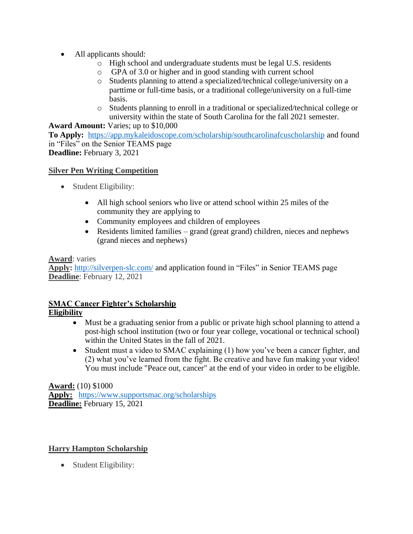- All applicants should:
	- o High school and undergraduate students must be legal U.S. residents
	- o GPA of 3.0 or higher and in good standing with current school
	- o Students planning to attend a specialized/technical college/university on a parttime or full-time basis, or a traditional college/university on a full-time basis.
	- o Students planning to enroll in a traditional or specialized/technical college or university within the state of South Carolina for the fall 2021 semester.

**Award Amount:** Varies; up to \$10,000

**To Apply:** <https://app.mykaleidoscope.com/scholarship/southcarolinafcuscholarship> and found in "Files" on the Senior TEAMS page

**Deadline:** February 3, 2021

#### **Silver Pen Writing Competition**

- Student Eligibility:
	- All high school seniors who live or attend school within 25 miles of the community they are applying to
	- Community employees and children of employees
	- Residents limited families grand (great grand) children, nieces and nephews (grand nieces and nephews)

**Award**: varies

**Apply:** <http://silverpen-slc.com/> and application found in "Files" in Senior TEAMS page **Deadline**: February 12, 2021

# **SMAC Cancer Fighter's Scholarship**

- **Eligibility**
	- Must be a graduating senior from a public or private high school planning to attend a post-high school institution (two or four year college, vocational or technical school) within the United States in the fall of 2021.
	- Student must a video to SMAC explaining (1) how you've been a cancer fighter, and (2) what you've learned from the fight. Be creative and have fun making your video! You must include "Peace out, cancer" at the end of your video in order to be eligible.

**Award:** (10) \$1000 **Apply:** <https://www.supportsmac.org/scholarships> **Deadline:** February 15, 2021

# **Harry Hampton Scholarship**

• Student Eligibility: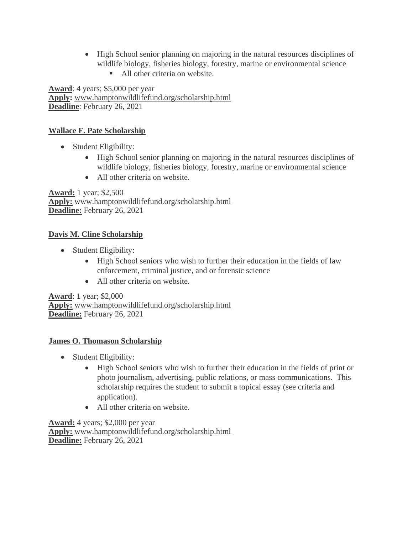- High School senior planning on majoring in the natural resources disciplines of wildlife biology, fisheries biology, forestry, marine or environmental science
	- All other criteria on website.

**Award**: 4 years; \$5,000 per year **Apply:** [www.hamptonwildlifefund.org/scholarship.html](http://www.hamptonwildlifefund.org/scholarship.html) **Deadline**: February 26, 2021

### **Wallace F. Pate Scholarship**

- Student Eligibility:
	- High School senior planning on majoring in the natural resources disciplines of wildlife biology, fisheries biology, forestry, marine or environmental science
	- All other criteria on website.

**Award:** 1 year; \$2,500 **Apply:** [www.hamptonwildlifefund.org/scholarship.html](http://www.hamptonwildlifefund.org/scholarship.html) **Deadline:** February 26, 2021

#### **Davis M. Cline Scholarship**

- Student Eligibility:
	- High School seniors who wish to further their education in the fields of law enforcement, criminal justice, and or forensic science
	- All other criteria on website.

**Award**: 1 year; \$2,000 **Apply:** [www.hamptonwildlifefund.org/scholarship.html](http://www.hamptonwildlifefund.org/scholarship.html) **Deadline:** February 26, 2021

#### **James O. Thomason Scholarship**

- Student Eligibility:
	- High School seniors who wish to further their education in the fields of print or photo journalism, advertising, public relations, or mass communications. This scholarship requires the student to submit a topical essay (see criteria and application).
	- All other criteria on website.

**Award:** 4 years; \$2,000 per year **Apply:** [www.hamptonwildlifefund.org/scholarship.html](http://www.hamptonwildlifefund.org/scholarship.html) **Deadline:** February 26, 2021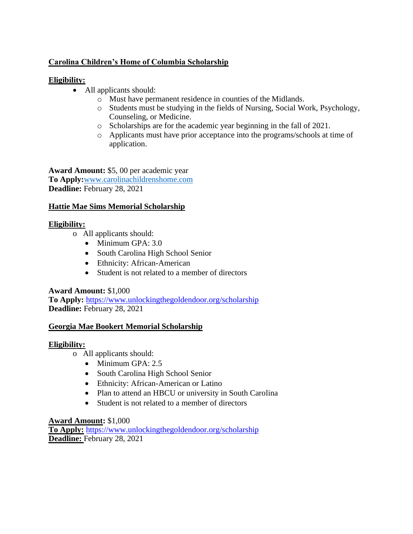# **Carolina Children's Home of Columbia Scholarship**

# **Eligibility:**

- All applicants should:
	- o Must have permanent residence in counties of the Midlands.
	- o Students must be studying in the fields of Nursing, Social Work, Psychology, Counseling, or Medicine.
	- o Scholarships are for the academic year beginning in the fall of 2021.
	- o Applicants must have prior acceptance into the programs/schools at time of application.

**Award Amount:** \$5, 00 per academic year **To Apply:**[www.carolinachildrenshome.com](http://www.carolinachildrenshome.com/) **Deadline:** February 28, 2021

# **Hattie Mae Sims Memorial Scholarship**

# **Eligibility:**

- o All applicants should:
	- Minimum GPA: 3.0
	- South Carolina High School Senior
	- Ethnicity: African-American
	- Student is not related to a member of directors

### **Award Amount:** \$1,000

**To Apply:** <https://www.unlockingthegoldendoor.org/scholarship> **Deadline:** February 28, 2021

### **Georgia Mae Bookert Memorial Scholarship**

### **Eligibility:**

- o All applicants should:
	- Minimum GPA: 2.5
	- South Carolina High School Senior
	- Ethnicity: African-American or Latino
	- Plan to attend an HBCU or university in South Carolina
	- Student is not related to a member of directors

#### **Award Amount:** \$1,000

**To Apply:** <https://www.unlockingthegoldendoor.org/scholarship> **Deadline:** February 28, 2021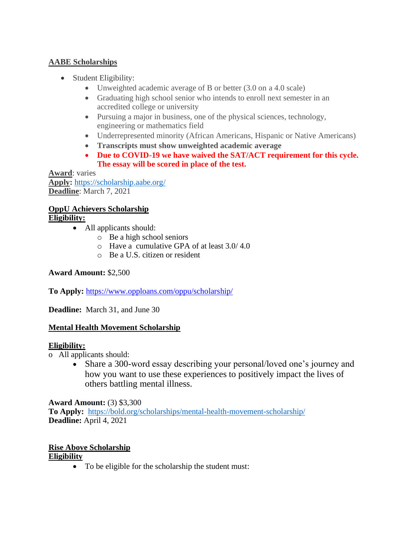# **AABE Scholarships**

- Student Eligibility:
	- Unweighted academic average of B or better (3.0 on a 4.0 scale)
	- Graduating high school senior who intends to enroll next semester in an accredited college or university
	- Pursuing a major in business, one of the physical sciences, technology, engineering or mathematics field
	- Underrepresented minority (African Americans, Hispanic or Native Americans)
	- **Transcripts must show unweighted academic average**
	- **Due to COVID-19 we have waived the SAT/ACT requirement for this cycle. The essay will be scored in place of the test.**

**Award**: varies **Apply:** <https://scholarship.aabe.org/> **Deadline**: March 7, 2021

#### **OppU Achievers Scholarship Eligibility:**

- All applicants should:
	- o Be a high school seniors
	- o Have a cumulative GPA of at least 3.0/ 4.0
	- o Be a U.S. citizen or resident

# **Award Amount:** \$2,500

**To Apply:** <https://www.opploans.com/oppu/scholarship/>

**Deadline:** March 31, and June 30

# **Mental Health Movement Scholarship**

### **Eligibility:**

o All applicants should:

• Share a 300-word essay describing your personal/loved one's journey and how you want to use these experiences to positively impact the lives of others battling mental illness.

**Award Amount:** (3) \$3,300

**To Apply:** <https://bold.org/scholarships/mental-health-movement-scholarship/> **Deadline:** April 4, 2021

#### **Rise Above Scholarship Eligibility**

• To be eligible for the scholarship the student must: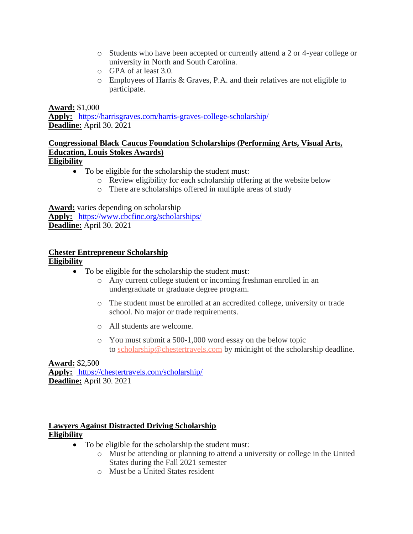- o Students who have been accepted or currently attend a 2 or 4-year college or university in North and South Carolina.
- o GPA of at least 3.0.
- o Employees of Harris & Graves, P.A. and their relatives are not eligible to participate.

**Award:** \$1,000 **Apply:** https://harrisgraves.com/harris-graves-college-scholarship/ **Deadline:** April 30. 2021

# **Congressional Black Caucus Foundation Scholarships (Performing Arts, Visual Arts, Education, Louis Stokes Awards)**

**Eligibility**

- To be eligible for the scholarship the student must:
	- o Review eligibility for each scholarship offering at the website below
	- o There are scholarships offered in multiple areas of study

**Award:** varies depending on scholarship **Apply:** https://www.cbcfinc.org/scholarships/ **Deadline:** April 30. 2021

#### **Chester Entrepreneur Scholarship Eligibility**

- To be eligible for the scholarship the student must:
	- o Any current college student or incoming freshman enrolled in an undergraduate or graduate degree program.
	- o The student must be enrolled at an accredited college, university or trade school. No major or trade requirements.
	- o All students are welcome.
	- o You must submit a 500-1,000 word essay on the below topic to [scholarship@chestertravels.com](mailto:scholarship@chestertravels.com) by midnight of the scholarship deadline.

**Award:** \$2,500 **Apply:** https://chestertravels.com/scholarship/ **Deadline:** April 30. 2021

#### **Lawyers Against Distracted Driving Scholarship Eligibility**

- To be eligible for the scholarship the student must:
	- o Must be attending or planning to attend a university or college in the United States during the Fall 2021 semester
	- o Must be a United States resident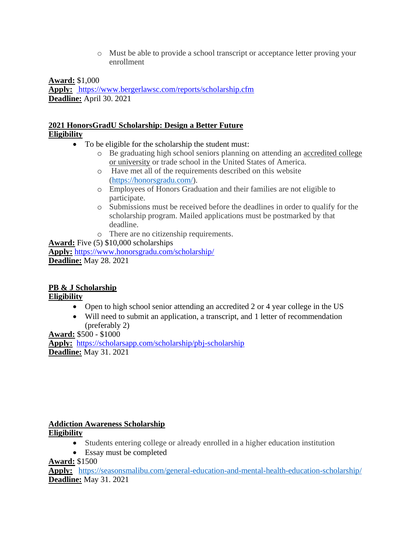o Must be able to provide a school transcript or acceptance letter proving your enrollment

**Award:** \$1,000 **Apply:** https://www.bergerlawsc.com/reports/scholarship.cfm **Deadline:** April 30. 2021

# **2021 HonorsGradU Scholarship: Design a Better Future Eligibility**

- To be eligible for the scholarship the student must:
	- o Be graduating high school seniors planning on attending an [accredited college](http://ope.ed.gov/accreditation/Search.aspx)  [or university](http://ope.ed.gov/accreditation/Search.aspx) or trade school in the United States of America.
	- o Have met all of the requirements described on this website [\(https://honorsgradu.com/\)](https://honorsgradu.com/).
	- o Employees of Honors Graduation and their families are not eligible to participate.
	- o Submissions must be received before the deadlines in order to qualify for the scholarship program. Mailed applications must be postmarked by that deadline.
	- o There are no citizenship requirements.

**Award:** Five (5) \$10,000 scholarships **Apply:** https://www.honorsgradu.com/scholarship/ **Deadline:** May 28. 2021

# **PB & J Scholarship**

**Eligibility**

- Open to high school senior attending an accredited 2 or 4 year college in the US
- Will need to submit an application, a transcript, and 1 letter of recommendation (preferably 2)

**Award:** \$500 - \$1000

**Apply:** https://scholarsapp.com/scholarship/pbj-scholarship **Deadline:** May 31. 2021

### **Addiction Awareness Scholarship Eligibility**

- Students entering college or already enrolled in a higher education institution
- Essay must be completed

**Award:** \$1500

**Apply:** <https://seasonsmalibu.com/general-education-and-mental-health-education-scholarship/> **Deadline:** May 31. 2021